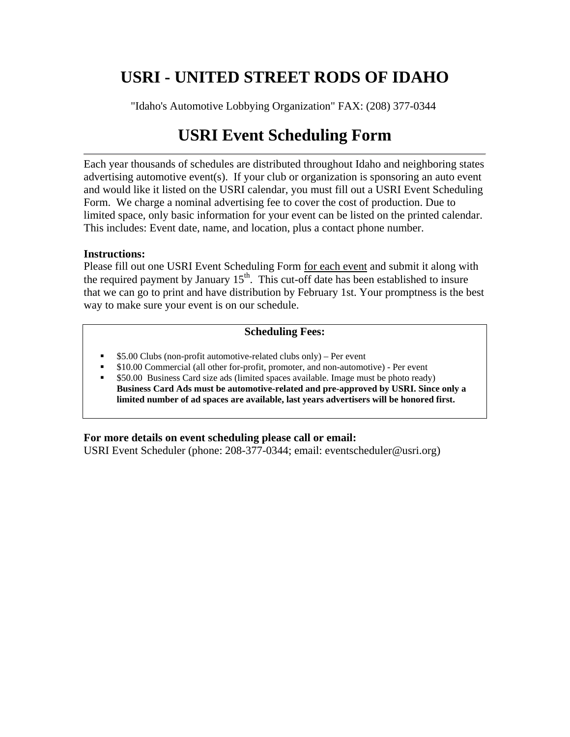# **USRI - UNITED STREET RODS OF IDAHO**

"Idaho's Automotive Lobbying Organization" FAX: (208) 377-0344

## **USRI Event Scheduling Form**

Each year thousands of schedules are distributed throughout Idaho and neighboring states advertising automotive event(s). If your club or organization is sponsoring an auto event and would like it listed on the USRI calendar, you must fill out a USRI [Event Scheduling](http://www.usri.org/Calendar/scheduling.htm) Form. We charge a nominal advertising fee to cover the cost of production. Due to limited space, only basic information for your event can be listed on the printed calendar. This includes: Event date, name, and location, plus a contact phone number.

#### **Instructions:**

Please fill out one USRI [Event Scheduling](http://www.usri.org/Calendar/scheduling.htm) Form for each event and submit it along with the required payment by January  $15<sup>th</sup>$ . This cut-off date has been established to insure that we can go to print and have distribution by February 1st. Your promptness is the best way to make sure your event is on our schedule.

#### **Scheduling Fees:**

- \$5.00 Clubs (non-profit automotive-related clubs only) Per event
- \$10.00 Commercial (all other for-profit, promoter, and non-automotive) Per event
- \$50.00 Business Card size ads (limited spaces available. Image must be photo ready) **Business Card Ads must be automotive-related and pre-approved by USRI. Since only a limited number of ad spaces are available, last years advertisers will be honored first.**

#### **For more details on event scheduling please call or email:**

USRI Event Scheduler (phone: 208-377-0344; email: eventscheduler@usri.org)